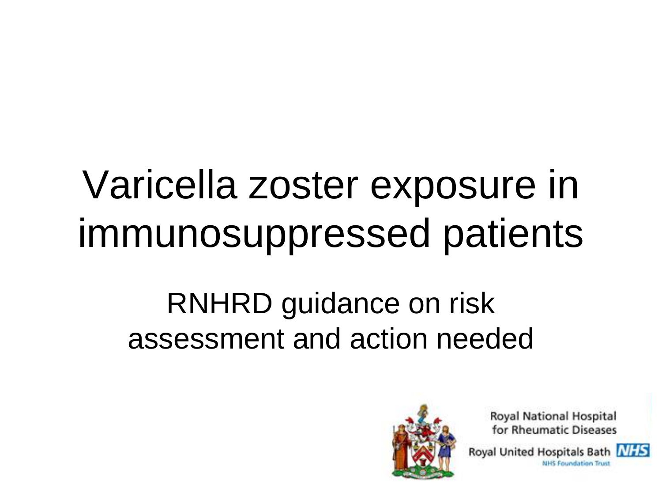# Varicella zoster exposure in immunosuppressed patients

## RNHRD guidance on risk assessment and action needed



**Royal National Hospital** for Rheumatic Diseases

Royal United Hospitals Bath NHS **NHS Foundation Trust** 

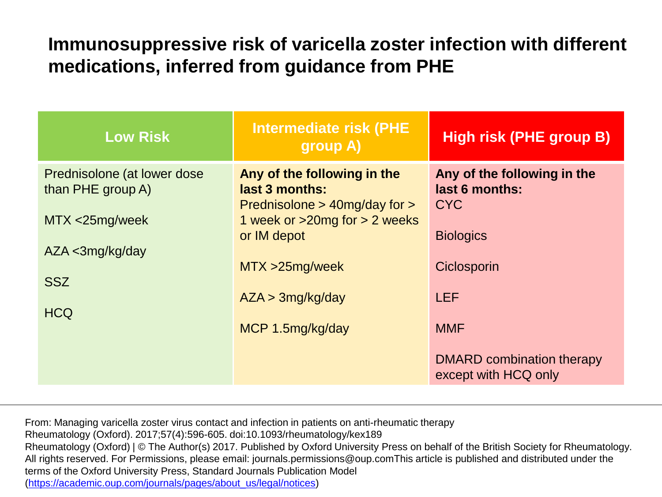### **Immunosuppressive risk of varicella zoster infection with different medications, inferred from guidance from PHE**

| <b>Low Risk</b>                                                     | <b>Intermediate risk (PHE</b><br>group A)                                                                                              | <b>High risk (PHE group B)</b>                                                  |
|---------------------------------------------------------------------|----------------------------------------------------------------------------------------------------------------------------------------|---------------------------------------------------------------------------------|
| Prednisolone (at lower dose)<br>than PHE group A)<br>MTX <25mg/week | Any of the following in the<br>last 3 months:<br>Prednisolone $>$ 40mg/day for $>$<br>1 week or $>20$ mg for $>2$ weeks<br>or IM depot | Any of the following in the<br>last 6 months:<br><b>CYC</b><br><b>Biologics</b> |
| AZA <3mg/kg/day<br><b>SSZ</b>                                       | MTX > 25mg/week<br>AZA > 3mg/kg/day                                                                                                    | Ciclosporin<br><b>LEF</b>                                                       |
| <b>HCQ</b>                                                          | MCP 1.5mg/kg/day                                                                                                                       | <b>MMF</b>                                                                      |
|                                                                     |                                                                                                                                        | DMARD combination therapy<br>except with HCQ only                               |

From: Managing varicella zoster virus contact and infection in patients on anti-rheumatic therapy Rheumatology (Oxford). 2017;57(4):596-605. doi:10.1093/rheumatology/kex189 Rheumatology (Oxford) | © The Author(s) 2017. Published by Oxford University Press on behalf of the British Society for Rheumatology. All rights reserved. For Permissions, please email: journals.permissions@oup.comThis article is published and distributed under the terms of the Oxford University Press, Standard Journals Publication Model ([https://academic.oup.com/journals/pages/about\\_us/legal/notices](https://academic.oup.com/journals/pages/about_us/legal/notices))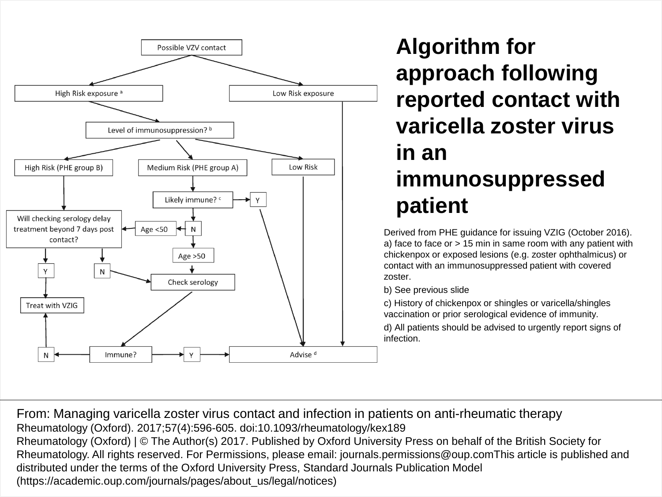

### **Algorithm for approach following reported contact with varicella zoster virus in an immunosuppressed patient**

Derived from PHE guidance for issuing VZIG (October 2016). a) face to face or > 15 min in same room with any patient with chickenpox or exposed lesions (e.g. zoster ophthalmicus) or contact with an immunosuppressed patient with covered zoster.

b) See previous slide

c) History of chickenpox or shingles or varicella/shingles vaccination or prior serological evidence of immunity.

d) All patients should be advised to urgently report signs of infection.

From: Managing varicella zoster virus contact and infection in patients on anti-rheumatic therapy Rheumatology (Oxford). 2017;57(4):596-605. doi:10.1093/rheumatology/kex189 Rheumatology (Oxford) | © The Author(s) 2017. Published by Oxford University Press on behalf of the British Society for Rheumatology. All rights reserved. For Permissions, please email: journals.permissions@oup.comThis article is published and distributed under the terms of the Oxford University Press, Standard Journals Publication Model (https://academic.oup.com/journals/pages/about\_us/legal/notices)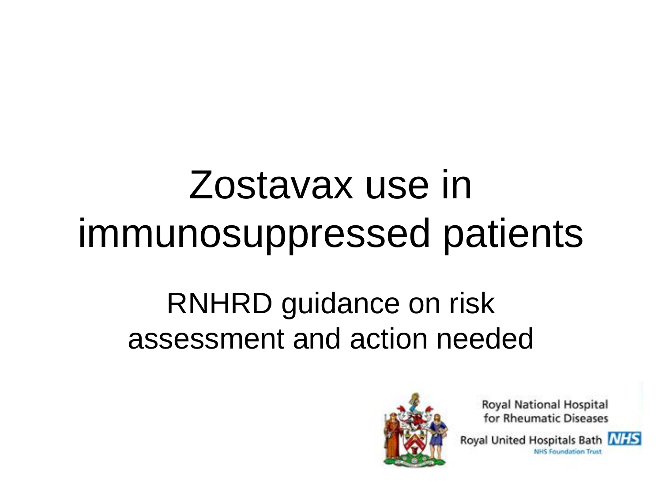# Zostavax use in immunosuppressed patients

## RNHRD guidance on risk assessment and action needed



**Royal National Hospital** for Rheumatic Diseases

Royal United Hospitals Bath NHS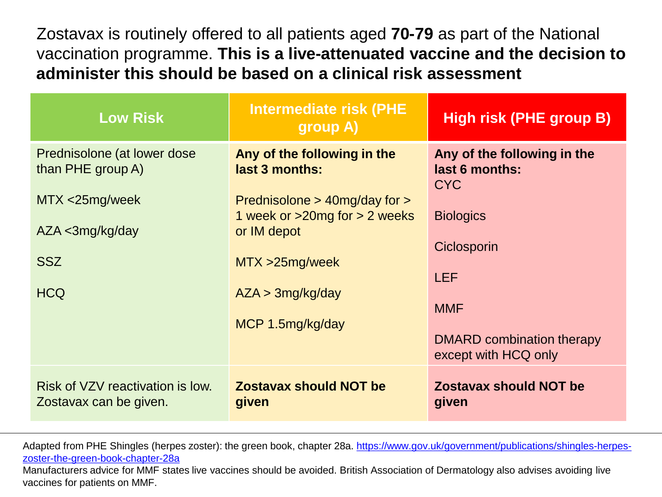Zostavax is routinely offered to all patients aged **70-79** as part of the National vaccination programme. **This is a live-attenuated vaccine and the decision to administer this should be based on a clinical risk assessment**

| <b>Low Risk</b>                                                                                                           | <b>Intermediate risk (PHE</b><br>group A)                                                                                                                                                         | High risk (PHE group B)                                                                                                                                                         |
|---------------------------------------------------------------------------------------------------------------------------|---------------------------------------------------------------------------------------------------------------------------------------------------------------------------------------------------|---------------------------------------------------------------------------------------------------------------------------------------------------------------------------------|
| Prednisolone (at lower dose)<br>than PHE group A)<br>$MTX < 25mg/$ week<br>$AZA <$ 3mg/kg/day<br><b>SSZ</b><br><b>HCQ</b> | Any of the following in the<br>last 3 months:<br>Prednisolone $>$ 40mg/day for $>$<br>1 week or $>20$ mg for $>2$ weeks<br>or IM depot<br>MTX > 25mg/week<br>AZA > 3mg/kg/day<br>MCP 1.5mg/kg/day | Any of the following in the<br>last 6 months:<br><b>CYC</b><br><b>Biologics</b><br>Ciclosporin<br><b>LEF</b><br><b>MMF</b><br>DMARD combination therapy<br>except with HCQ only |
| Risk of VZV reactivation is low.<br>Zostavax can be given.                                                                | <b>Zostavax should NOT be</b><br>given                                                                                                                                                            | <b>Zostavax should NOT be</b><br>given                                                                                                                                          |

Adapted from PHE Shingles (herpes zoster): the green book, chapter 28a. [https://www.gov.uk/government/publications/shingles-herpes](https://www.gov.uk/government/publications/shingles-herpes-zoster-the-green-book-chapter-28a)[zoster-the-green-book-chapter-28a](https://www.gov.uk/government/publications/shingles-herpes-zoster-the-green-book-chapter-28a)

Manufacturers advice for MMF states live vaccines should be avoided. British Association of Dermatology also advises avoiding live vaccines for patients on MMF.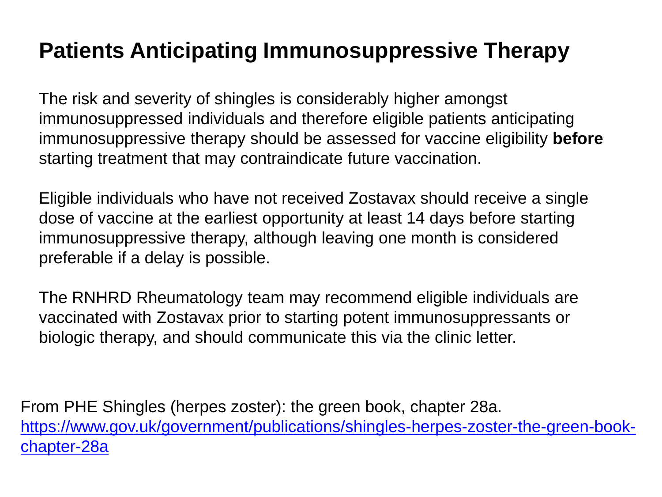### **Patients Anticipating Immunosuppressive Therapy**

The risk and severity of shingles is considerably higher amongst immunosuppressed individuals and therefore eligible patients anticipating immunosuppressive therapy should be assessed for vaccine eligibility **before**  starting treatment that may contraindicate future vaccination.

Eligible individuals who have not received Zostavax should receive a single dose of vaccine at the earliest opportunity at least 14 days before starting immunosuppressive therapy, although leaving one month is considered preferable if a delay is possible.

The RNHRD Rheumatology team may recommend eligible individuals are vaccinated with Zostavax prior to starting potent immunosuppressants or biologic therapy, and should communicate this via the clinic letter.

From PHE Shingles (herpes zoster): the green book, chapter 28a. [https://www.gov.uk/government/publications/shingles-herpes-zoster-the-green-book](https://www.gov.uk/government/publications/shingles-herpes-zoster-the-green-book-chapter-28a)[chapter-28a](https://www.gov.uk/government/publications/shingles-herpes-zoster-the-green-book-chapter-28a)